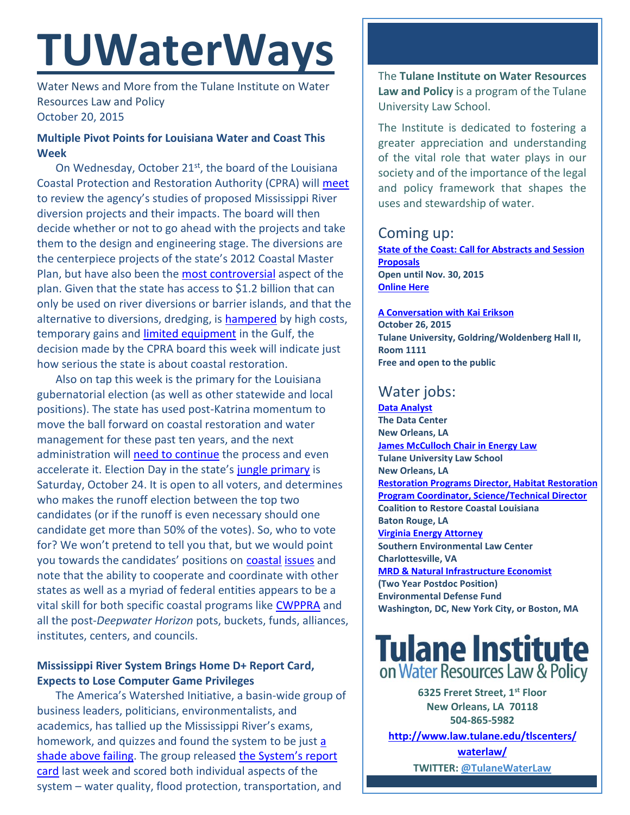# **TUWaterWays**

Water News and More from the Tulane Institute on Water Resources Law and Policy October 20, 2015

## **Multiple Pivot Points for Louisiana Water and Coast This Week**

On Wednesday, October 21<sup>st</sup>, the board of the Louisiana Coastal Protection and Restoration Authority (CPRA) will [meet](http://thelensnola.org/2015/09/29/final-decision-on-construction-of-river-diversion-set-even-as-research-continues/) to review the agency's studies of proposed Mississippi River diversion projects and their impacts. The board will then decide whether or not to go ahead with the projects and take them to the design and engineering stage. The diversions are the centerpiece projects of the state's 2012 Coastal Master Plan, but have also been th[e most controversial](http://www.louisianasportsman.com/details.php?id=6778) aspect of the plan. Given that the state has access to \$1.2 billion that can only be used on river diversions or barrier islands, and that the alternative to diversions, dredging, is [hampered](http://lacoastpost.com/blog/?p=49979) by high costs, temporary gains and [limited equipment](http://www.nola.com/environment/index.ssf/2015/10/spending_165_billion_bp_spill.html) in the Gulf, the decision made by the CPRA board this week will indicate just how serious the state is about coastal restoration.

Also on tap this week is the primary for the Louisiana gubernatorial election (as well as other statewide and local positions). The state has used post-Katrina momentum to move the ball forward on coastal restoration and water management for these past ten years, and the next administration will [need to continue](http://www.nola.com/politics/index.ssf/2015/10/next_governor_will_play_crucia.html#incart_river_home) the process and even accelerate it. Election Day in the state's [jungle primary](http://politicaldictionary.com/words/jungle-primary/) is Saturday, October 24. It is open to all voters, and determines who makes the runoff election between the top two candidates (or if the runoff is even necessary should one candidate get more than 50% of the votes). So, who to vote for? We won't pretend to tell you that, but we would point you towards the candidates' positions on **[coastal](https://www.youtube.com/watch?v=1KSXk5u4DQQ) [issues](http://www.katc.com/story/30258999/qa-on-coastal-restoration-with-the-candidates-for-governor)** and note that the ability to cooperate and coordinate with other states as well as a myriad of federal entities appears to be a vital skill for both specific coastal programs like [CWPPRA](http://www.houmatoday.com/article/20151014/ARTICLES/151019858/1211/news01?Title=Cooperation-is-key-to-federal-program-to-save-coast?template=printpicart) and all the post-*Deepwater Horizon* pots, buckets, funds, alliances, institutes, centers, and councils.

### **Mississippi River System Brings Home D+ Report Card, Expects to Lose Computer Game Privileges**

The America's Watershed Initiative, a basin-wide group of business leaders, politicians, environmentalists, and academics, has tallied up the Mississippi River's exams, homework, and quizzes and found the system to be just a [shade above failing.](http://www.npr.org/sections/thetwo-way/2015/10/14/448636385/mississippi-river-basin-gets-a-grade-of-d) The group released the S[ystem's report](http://americaswatershed.org/outreach/)  [card](http://americaswatershed.org/outreach/) last week and scored both individual aspects of the system – water quality, flood protection, transportation, and

The **Tulane Institute on Water Resources Law and Policy** is a program of the Tulane University Law School.

The Institute is dedicated to fostering a greater appreciation and understanding of the vital role that water plays in our society and of the importance of the legal and policy framework that shapes the uses and stewardship of water.

## Coming up:

**[State](https://www.google.com/maps/place/Belle+Chasse+Auditorium/@29.853709,-89.9861428,15z/data=!4m2!3m1!1s0x0:0x23d3a90cbaa61491) of the Coast: Call for Abstracts and Session Proposals Open until Nov. 30, 2015 [Online Here](http://stateofthecoast.org/general-information/general-information.html)**

**[A Conversation with Kai Erikson](http://www.andyhorowitz.com/uploads/8/0/2/8/8028211/5359729_orig.png) October 26, 2015 Tulane University, Goldring/Woldenberg Hall II, Room 1111 Free and open to the public**

# Water jobs:

**[Data Analyst](http://www.datacenterresearch.org/about-us/jobs/) The Data Center New Orleans, LA [James McCulloch Chair in Energy Law](https://www.eli.org/sites/default/files/tulane.pdf) Tulane University Law School New Orleans, LA [Restoration Programs Director, Habitat Restoration](http://crcl.org/about-us/employment-opportunities-menu.html)  [Program Coordinator, Science/Technical Director](http://crcl.org/about-us/employment-opportunities-menu.html) Coalition to Restore Coastal Louisiana Baton Rouge, LA [Virginia Energy Attorney](http://50.87.248.195/~vcnvaorg/?p=346) Southern Environmental Law Center Charlottesville, VA [MRD & Natural Infrastructure Economist](https://www.edf.org/jobs/mississippi-river-delta-and-natural-infrastructure-economist-2-year-post-doctoral-position) (Two Year Postdoc Position) Environmental Defense Fund Washington, DC, New York City, or Boston, MA**



**6325 Freret Street, 1st Floor New Orleans, LA 70118 504-865-5982** 

**[http://www.law.tulane.edu/tlscenters/](http://www.law.tulane.edu/tlscenters/waterlaw/)**

**[waterlaw/](http://www.law.tulane.edu/tlscenters/waterlaw/) TWITTER: [@TulaneWaterLaw](http://www.twitter.com/TulaneWaterLaw)**